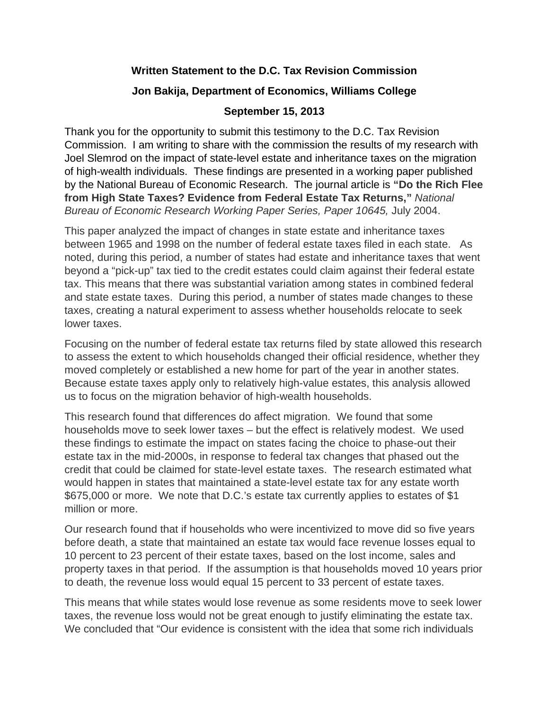## **Written Statement to the D.C. Tax Revision Commission**

## **Jon Bakija, Department of Economics, Williams College**

## **September 15, 2013**

Thank you for the opportunity to submit this testimony to the D.C. Tax Revision Commission. I am writing to share with the commission the results of my research with Joel Slemrod on the impact of state-level estate and inheritance taxes on the migration of high-wealth individuals. These findings are presented in a working paper published by the National Bureau of Economic Research. The journal article is **"Do the Rich Flee from High State Taxes? Evidence from Federal Estate Tax Returns,"** *National Bureau of Economic Research Working Paper Series, Paper 10645,* July 2004.

This paper analyzed the impact of changes in state estate and inheritance taxes between 1965 and 1998 on the number of federal estate taxes filed in each state. As noted, during this period, a number of states had estate and inheritance taxes that went beyond a "pick-up" tax tied to the credit estates could claim against their federal estate tax. This means that there was substantial variation among states in combined federal and state estate taxes. During this period, a number of states made changes to these taxes, creating a natural experiment to assess whether households relocate to seek lower taxes.

Focusing on the number of federal estate tax returns filed by state allowed this research to assess the extent to which households changed their official residence, whether they moved completely or established a new home for part of the year in another states. Because estate taxes apply only to relatively high-value estates, this analysis allowed us to focus on the migration behavior of high-wealth households.

This research found that differences do affect migration. We found that some households move to seek lower taxes – but the effect is relatively modest. We used these findings to estimate the impact on states facing the choice to phase-out their estate tax in the mid-2000s, in response to federal tax changes that phased out the credit that could be claimed for state-level estate taxes. The research estimated what would happen in states that maintained a state-level estate tax for any estate worth \$675,000 or more. We note that D.C.'s estate tax currently applies to estates of \$1 million or more.

Our research found that if households who were incentivized to move did so five years before death, a state that maintained an estate tax would face revenue losses equal to 10 percent to 23 percent of their estate taxes, based on the lost income, sales and property taxes in that period. If the assumption is that households moved 10 years prior to death, the revenue loss would equal 15 percent to 33 percent of estate taxes.

This means that while states would lose revenue as some residents move to seek lower taxes, the revenue loss would not be great enough to justify eliminating the estate tax. We concluded that "Our evidence is consistent with the idea that some rich individuals